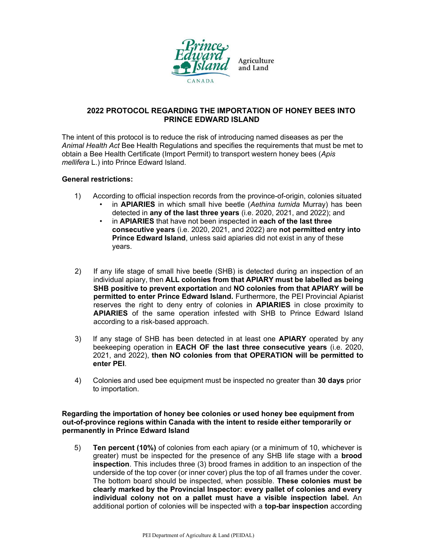

# 2022 PROTOCOL REGARDING THE IMPORTATION OF HONEY BEES INTO PRINCE EDWARD ISLAND

The intent of this protocol is to reduce the risk of introducing named diseases as per the Animal Health Act Bee Health Regulations and specifies the requirements that must be met to obtain a Bee Health Certificate (Import Permit) to transport western honey bees (Apis mellifera L.) into Prince Edward Island.

# General restrictions:

- 1) According to official inspection records from the province-of-origin, colonies situated
	- in **APIARIES** in which small hive beetle (Aethina tumida Murray) has been detected in any of the last three years (i.e. 2020, 2021, and 2022); and
	- in **APIARIES** that have not been inspected in each of the last three consecutive years (i.e. 2020, 2021, and 2022) are not permitted entry into Prince Edward Island, unless said apiaries did not exist in any of these years.
- 2) If any life stage of small hive beetle (SHB) is detected during an inspection of an individual apiary, then ALL colonies from that APIARY must be labelled as being SHB positive to prevent exportation and NO colonies from that APIARY will be permitted to enter Prince Edward Island. Furthermore, the PEI Provincial Apiarist reserves the right to deny entry of colonies in APIARIES in close proximity to APIARIES of the same operation infested with SHB to Prince Edward Island according to a risk-based approach.
- 3) If any stage of SHB has been detected in at least one **APIARY** operated by any beekeeping operation in EACH OF the last three consecutive years (i.e. 2020, 2021, and 2022), then NO colonies from that OPERATION will be permitted to enter PEI.
- 4) Colonies and used bee equipment must be inspected no greater than 30 days prior to importation.

## Regarding the importation of honey bee colonies or used honey bee equipment from out-of-province regions within Canada with the intent to reside either temporarily or permanently in Prince Edward Island

5) Ten percent (10%) of colonies from each apiary (or a minimum of 10, whichever is greater) must be inspected for the presence of any SHB life stage with a **brood** inspection. This includes three (3) brood frames in addition to an inspection of the underside of the top cover (or inner cover) plus the top of all frames under the cover. The bottom board should be inspected, when possible. These colonies must be clearly marked by the Provincial Inspector: every pallet of colonies and every individual colony not on a pallet must have a visible inspection label. An additional portion of colonies will be inspected with a top-bar inspection according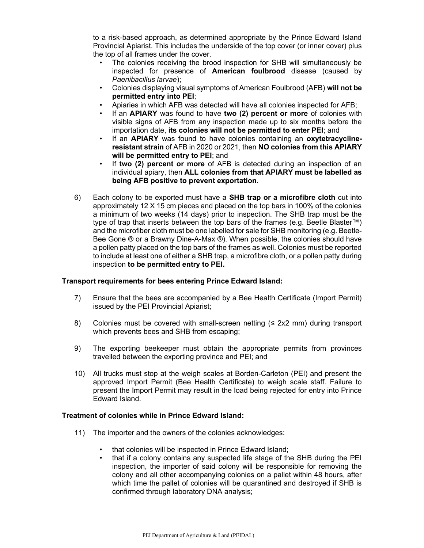to a risk-based approach, as determined appropriate by the Prince Edward Island Provincial Apiarist. This includes the underside of the top cover (or inner cover) plus the top of all frames under the cover.

- The colonies receiving the brood inspection for SHB will simultaneously be inspected for presence of American foulbrood disease (caused by Paenibacillus larvae);
- Colonies displaying visual symptoms of American Foulbrood (AFB) will not be permitted entry into PEI;
- Apiaries in which AFB was detected will have all colonies inspected for AFB;
- If an APIARY was found to have two (2) percent or more of colonies with visible signs of AFB from any inspection made up to six months before the importation date, its colonies will not be permitted to enter PEI; and
- If an **APIARY** was found to have colonies containing an **oxytetracycline**resistant strain of AFB in 2020 or 2021, then NO colonies from this APIARY will be permitted entry to PEI; and
- If two (2) percent or more of AFB is detected during an inspection of an individual apiary, then ALL colonies from that APIARY must be labelled as being AFB positive to prevent exportation.
- 6) Each colony to be exported must have a SHB trap or a microfibre cloth cut into approximately 12 X 15 cm pieces and placed on the top bars in 100% of the colonies a minimum of two weeks (14 days) prior to inspection. The SHB trap must be the type of trap that inserts between the top bars of the frames (e.g. Beetle Blaster™) and the microfiber cloth must be one labelled for sale for SHB monitoring (e.g. Beetle-Bee Gone ® or a Brawny Dine-A-Max ®). When possible, the colonies should have a pollen patty placed on the top bars of the frames as well. Colonies must be reported to include at least one of either a SHB trap, a microfibre cloth, or a pollen patty during inspection to be permitted entry to PEI.

## Transport requirements for bees entering Prince Edward Island:

- 7) Ensure that the bees are accompanied by a Bee Health Certificate (Import Permit) issued by the PEI Provincial Apiarist;
- 8) Colonies must be covered with small-screen netting (≤ 2x2 mm) during transport which prevents bees and SHB from escaping;
- 9) The exporting beekeeper must obtain the appropriate permits from provinces travelled between the exporting province and PEI; and
- 10) All trucks must stop at the weigh scales at Borden-Carleton (PEI) and present the approved Import Permit (Bee Health Certificate) to weigh scale staff. Failure to present the Import Permit may result in the load being rejected for entry into Prince Edward Island.

#### Treatment of colonies while in Prince Edward Island:

- 11) The importer and the owners of the colonies acknowledges:
	- that colonies will be inspected in Prince Edward Island;
	- that if a colony contains any suspected life stage of the SHB during the PEI inspection, the importer of said colony will be responsible for removing the colony and all other accompanying colonies on a pallet within 48 hours, after which time the pallet of colonies will be quarantined and destroyed if SHB is confirmed through laboratory DNA analysis;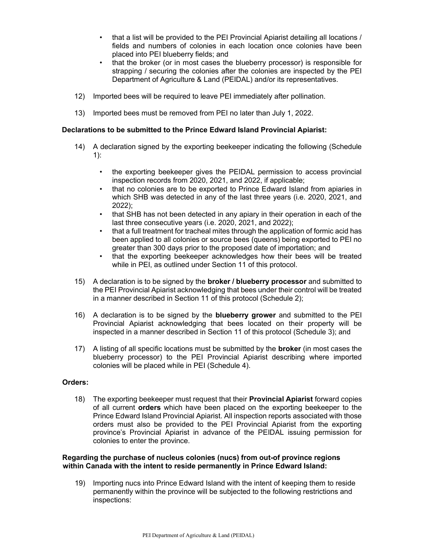- that a list will be provided to the PEI Provincial Apiarist detailing all locations / fields and numbers of colonies in each location once colonies have been placed into PEI blueberry fields; and
- that the broker (or in most cases the blueberry processor) is responsible for strapping / securing the colonies after the colonies are inspected by the PEI Department of Agriculture & Land (PEIDAL) and/or its representatives.
- 12) Imported bees will be required to leave PEI immediately after pollination.
- 13) Imported bees must be removed from PEI no later than July 1, 2022.

### Declarations to be submitted to the Prince Edward Island Provincial Apiarist:

- 14) A declaration signed by the exporting beekeeper indicating the following (Schedule 1):
	- the exporting beekeeper gives the PEIDAL permission to access provincial inspection records from 2020, 2021, and 2022, if applicable;
	- that no colonies are to be exported to Prince Edward Island from apiaries in which SHB was detected in any of the last three years (i.e. 2020, 2021, and 2022);
	- that SHB has not been detected in any apiary in their operation in each of the last three consecutive years (i.e. 2020, 2021, and 2022);
	- that a full treatment for tracheal mites through the application of formic acid has been applied to all colonies or source bees (queens) being exported to PEI no greater than 300 days prior to the proposed date of importation; and
	- that the exporting beekeeper acknowledges how their bees will be treated while in PEI, as outlined under Section 11 of this protocol.
- 15) A declaration is to be signed by the **broker / blueberry processor** and submitted to the PEI Provincial Apiarist acknowledging that bees under their control will be treated in a manner described in Section 11 of this protocol (Schedule 2);
- 16) A declaration is to be signed by the blueberry grower and submitted to the PEI Provincial Apiarist acknowledging that bees located on their property will be inspected in a manner described in Section 11 of this protocol (Schedule 3); and
- 17) A listing of all specific locations must be submitted by the **broker** (in most cases the blueberry processor) to the PEI Provincial Apiarist describing where imported colonies will be placed while in PEI (Schedule 4).

#### Orders:

18) The exporting beekeeper must request that their Provincial Apiarist forward copies of all current orders which have been placed on the exporting beekeeper to the Prince Edward Island Provincial Apiarist. All inspection reports associated with those orders must also be provided to the PEI Provincial Apiarist from the exporting province's Provincial Apiarist in advance of the PEIDAL issuing permission for colonies to enter the province.

### Regarding the purchase of nucleus colonies (nucs) from out-of province regions within Canada with the intent to reside permanently in Prince Edward Island:

19) Importing nucs into Prince Edward Island with the intent of keeping them to reside permanently within the province will be subjected to the following restrictions and inspections: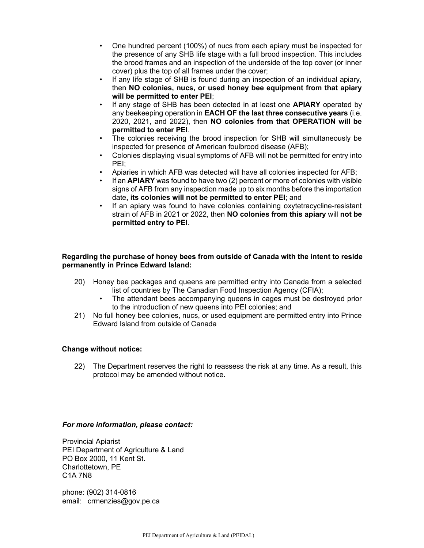- One hundred percent (100%) of nucs from each apiary must be inspected for the presence of any SHB life stage with a full brood inspection. This includes the brood frames and an inspection of the underside of the top cover (or inner cover) plus the top of all frames under the cover;
- If any life stage of SHB is found during an inspection of an individual apiary, then NO colonies, nucs, or used honey bee equipment from that apiary will be permitted to enter PEI;
- If any stage of SHB has been detected in at least one **APIARY** operated by any beekeeping operation in **EACH OF the last three consecutive years** (i.e. 2020, 2021, and 2022), then NO colonies from that OPERATION will be permitted to enter PEI.
- The colonies receiving the brood inspection for SHB will simultaneously be inspected for presence of American foulbrood disease (AFB);
- Colonies displaying visual symptoms of AFB will not be permitted for entry into PEI;
- Apiaries in which AFB was detected will have all colonies inspected for AFB;
- If an **APIARY** was found to have two (2) percent or more of colonies with visible signs of AFB from any inspection made up to six months before the importation date, its colonies will not be permitted to enter PEI; and
- If an apiary was found to have colonies containing oxytetracycline-resistant strain of AFB in 2021 or 2022, then NO colonies from this apiary will not be permitted entry to PEI.

# Regarding the purchase of honey bees from outside of Canada with the intent to reside permanently in Prince Edward Island:

- 20) Honey bee packages and queens are permitted entry into Canada from a selected list of countries by The Canadian Food Inspection Agency (CFIA);
	- The attendant bees accompanying queens in cages must be destroyed prior to the introduction of new queens into PEI colonies; and
- 21) No full honey bee colonies, nucs, or used equipment are permitted entry into Prince Edward Island from outside of Canada

## Change without notice:

22) The Department reserves the right to reassess the risk at any time. As a result, this protocol may be amended without notice.

#### For more information, please contact:

Provincial Apiarist PEI Department of Agriculture & Land PO Box 2000, 11 Kent St. Charlottetown, PE C1A 7N8

phone: (902) 314-0816 email: crmenzies@gov.pe.ca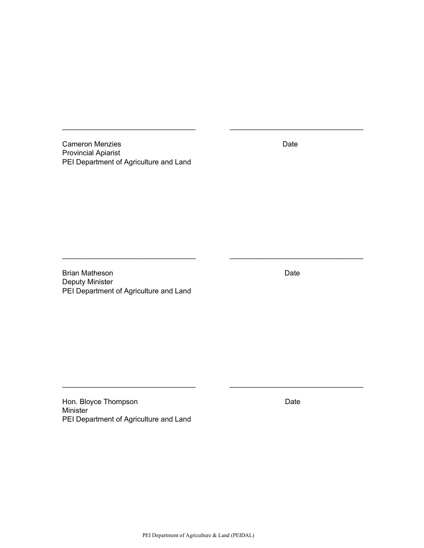Cameron Menzies **Date** Provincial Apiarist PEI Department of Agriculture and Land

 $\_$ 

Brian Matheson **Date** Deputy Minister PEI Department of Agriculture and Land

Hon. Bloyce Thompson **Date** Date **Date** Minister PEI Department of Agriculture and Land

 $\mathcal{L}_\mathcal{L} = \{ \mathcal{L}_\mathcal{L} = \{ \mathcal{L}_\mathcal{L} = \{ \mathcal{L}_\mathcal{L} = \{ \mathcal{L}_\mathcal{L} = \{ \mathcal{L}_\mathcal{L} = \{ \mathcal{L}_\mathcal{L} = \{ \mathcal{L}_\mathcal{L} = \{ \mathcal{L}_\mathcal{L} = \{ \mathcal{L}_\mathcal{L} = \{ \mathcal{L}_\mathcal{L} = \{ \mathcal{L}_\mathcal{L} = \{ \mathcal{L}_\mathcal{L} = \{ \mathcal{L}_\mathcal{L} = \{ \mathcal{L}_\mathcal{$